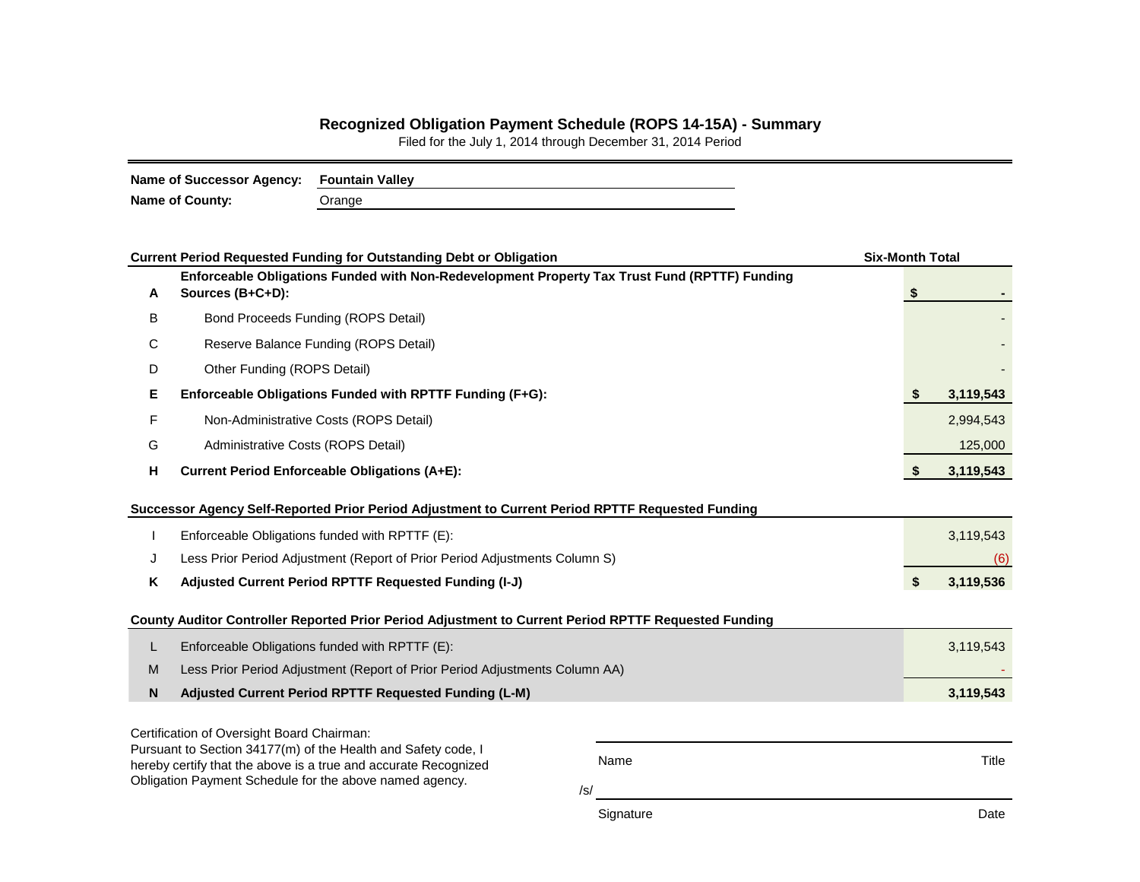## **Recognized Obligation Payment Schedule (ROPS 14-15A) - Summary**

Filed for the July 1, 2014 through December 31, 2014 Period

| Name of Successor Agency: Fountain Valley |        |  |  |  |  |  |  |  |
|-------------------------------------------|--------|--|--|--|--|--|--|--|
| <b>Name of County:</b>                    | Orange |  |  |  |  |  |  |  |

|   | <b>Current Period Requested Funding for Outstanding Debt or Obligation</b>                                                                                                                                        | <b>Six-Month Total</b> |           |  |  |  |  |
|---|-------------------------------------------------------------------------------------------------------------------------------------------------------------------------------------------------------------------|------------------------|-----------|--|--|--|--|
| A | Enforceable Obligations Funded with Non-Redevelopment Property Tax Trust Fund (RPTTF) Funding<br>Sources (B+C+D):                                                                                                 | -S                     |           |  |  |  |  |
| B | Bond Proceeds Funding (ROPS Detail)                                                                                                                                                                               |                        |           |  |  |  |  |
| С | Reserve Balance Funding (ROPS Detail)                                                                                                                                                                             |                        |           |  |  |  |  |
| D | Other Funding (ROPS Detail)                                                                                                                                                                                       |                        |           |  |  |  |  |
| Е | Enforceable Obligations Funded with RPTTF Funding (F+G):                                                                                                                                                          |                        | 3,119,543 |  |  |  |  |
| F | Non-Administrative Costs (ROPS Detail)                                                                                                                                                                            |                        | 2,994,543 |  |  |  |  |
| G | Administrative Costs (ROPS Detail)                                                                                                                                                                                |                        | 125,000   |  |  |  |  |
| н | <b>Current Period Enforceable Obligations (A+E):</b>                                                                                                                                                              | \$                     | 3,119,543 |  |  |  |  |
|   | Successor Agency Self-Reported Prior Period Adjustment to Current Period RPTTF Requested Funding                                                                                                                  |                        |           |  |  |  |  |
|   | Enforceable Obligations funded with RPTTF (E):                                                                                                                                                                    |                        | 3,119,543 |  |  |  |  |
| J | Less Prior Period Adjustment (Report of Prior Period Adjustments Column S)                                                                                                                                        |                        | (6)       |  |  |  |  |
| ĸ | Adjusted Current Period RPTTF Requested Funding (I-J)                                                                                                                                                             | \$                     | 3,119,536 |  |  |  |  |
|   | County Auditor Controller Reported Prior Period Adjustment to Current Period RPTTF Requested Funding                                                                                                              |                        |           |  |  |  |  |
| L | Enforceable Obligations funded with RPTTF (E):                                                                                                                                                                    |                        | 3,119,543 |  |  |  |  |
| M | Less Prior Period Adjustment (Report of Prior Period Adjustments Column AA)                                                                                                                                       |                        |           |  |  |  |  |
| N | Adjusted Current Period RPTTF Requested Funding (L-M)                                                                                                                                                             |                        | 3,119,543 |  |  |  |  |
|   | Certification of Oversight Board Chairman:                                                                                                                                                                        |                        |           |  |  |  |  |
|   | Pursuant to Section 34177(m) of the Health and Safety code, I<br>Name<br>hereby certify that the above is a true and accurate Recognized<br>Obligation Payment Schedule for the above named agency.<br>$\sqrt{s}$ |                        |           |  |  |  |  |

Signature Date Date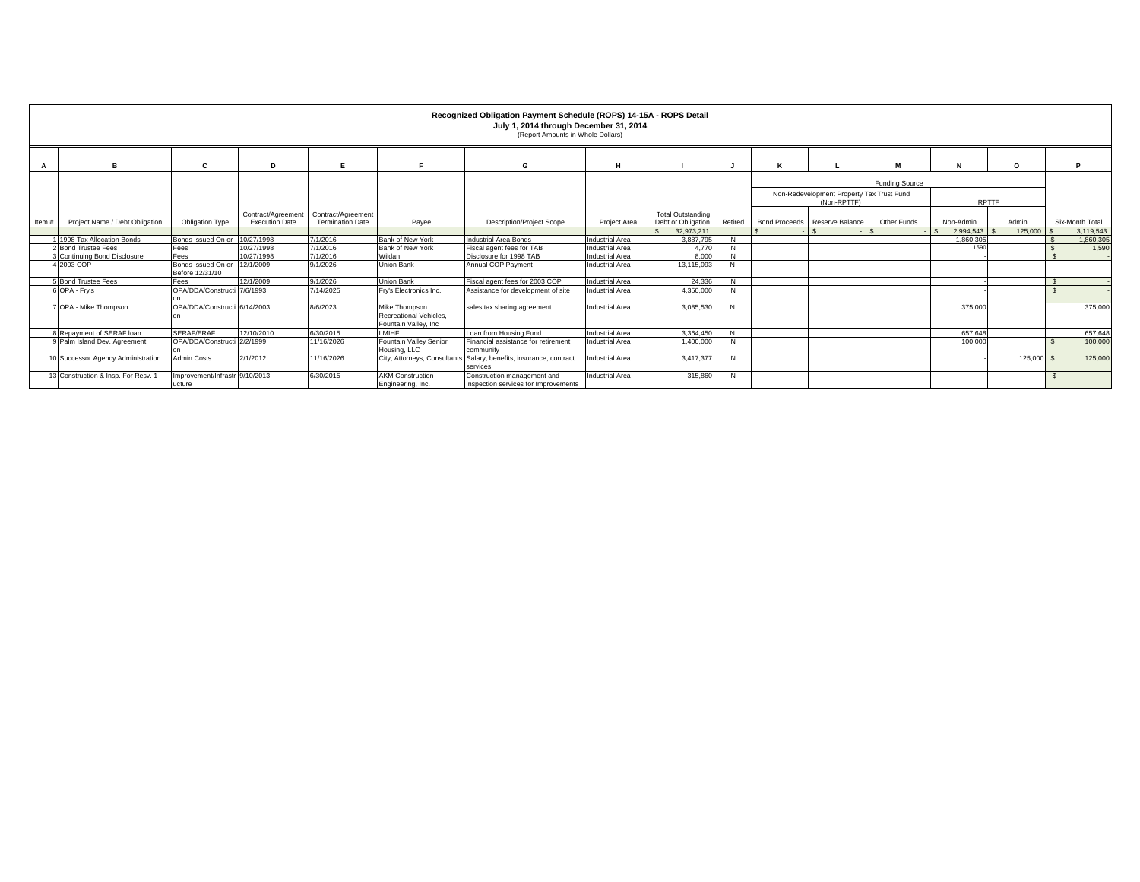|       | Recognized Obligation Payment Schedule (ROPS) 14-15A - ROPS Detail<br>July 1, 2014 through December 31, 2014<br>(Report Amounts in Whole Dollars) |                                               |                                             |                                                        |                                                                  |                                                                                |                                                  |                                                |                   |  |                                                          |                       |              |           |  |                 |
|-------|---------------------------------------------------------------------------------------------------------------------------------------------------|-----------------------------------------------|---------------------------------------------|--------------------------------------------------------|------------------------------------------------------------------|--------------------------------------------------------------------------------|--------------------------------------------------|------------------------------------------------|-------------------|--|----------------------------------------------------------|-----------------------|--------------|-----------|--|-----------------|
|       |                                                                                                                                                   | c                                             | n                                           |                                                        |                                                                  | G                                                                              | н                                                |                                                |                   |  |                                                          |                       | N            | $\circ$   |  | P               |
|       |                                                                                                                                                   |                                               |                                             |                                                        |                                                                  |                                                                                |                                                  |                                                |                   |  | Non-Redevelopment Property Tax Trust Fund<br>(Non-RPTTF) | <b>Funding Source</b> | <b>RPTTF</b> |           |  |                 |
| Item# | Project Name / Debt Obligation                                                                                                                    | Obligation Type                               | Contract/Agreement<br><b>Execution Date</b> | Contract/Agreement<br><b>Termination Date</b><br>Pavee |                                                                  | <b>Description/Project Scope</b>                                               | <b>Project Area</b>                              | <b>Total Outstanding</b><br>Debt or Obligation | Retired           |  | Bond Proceeds Reserve Balance                            | Other Funds           | Non-Admin    | Admin     |  | Six-Month Total |
|       |                                                                                                                                                   |                                               |                                             |                                                        |                                                                  | 32.973.211                                                                     |                                                  |                                                |                   |  | 2.994.543                                                | 125,000               |              | 3.119.543 |  |                 |
|       | 1 1998 Tax Allocation Bonds                                                                                                                       | Bonds Issued On or 10/27/1998                 |                                             | 7/1/2016                                               | Bank of New York                                                 | Industrial Area Bonds                                                          | Industrial Area                                  | 3.887.795                                      | N                 |  |                                                          |                       | 1.860.305    |           |  | 1.860.305       |
|       | 2 Bond Trustee Fees                                                                                                                               | Fees                                          | 10/27/1998                                  | 7/1/2016                                               | Bank of New York                                                 | Fiscal agent fees for TAB                                                      | Industrial Area                                  | 4.770                                          | N<br>$\mathbf{M}$ |  |                                                          |                       | 1590         |           |  | 1,590           |
|       | 3 Continuing Bond Disclosure<br>4 2003 COP                                                                                                        | Fees<br>Bonds Issued On or<br>Before 12/31/10 | 10/27/1998<br>12/1/2009                     | 7/1/2016<br>9/1/2026                                   | Wildan<br>Union Bank                                             | Disclosure for 1998 TAB<br>Annual COP Payment                                  | <b>Industrial Area</b><br><b>Industrial Area</b> | 8.000<br>13,115,093                            | N                 |  |                                                          |                       |              |           |  |                 |
|       | <b>5</b> Bond Trustee Fees                                                                                                                        | Fees                                          | 12/1/2009                                   | 9/1/2026                                               | <b>Union Bank</b>                                                | Fiscal agent fees for 2003 COP                                                 | <b>Industrial Area</b>                           | 24.336                                         | <b>N</b>          |  |                                                          |                       |              |           |  |                 |
|       | 6 OPA - Fry's                                                                                                                                     | OPA/DDA/Constructi 7/6/1993                   |                                             | 7/14/2025                                              | Fry's Electronics Inc.                                           | Assistance for development of site                                             | <b>Industrial Area</b>                           | 4,350,000                                      | N                 |  |                                                          |                       |              |           |  |                 |
|       | 7 OPA - Mike Thompson                                                                                                                             | OPA/DDA/Constructi 6/14/2003                  |                                             | 8/6/2023                                               | Mike Thompson<br>Recreational Vehicles.<br>Fountain Valley, Inc. | sales tax sharing agreement                                                    | <b>Industrial Area</b>                           | 3,085,530                                      | N                 |  |                                                          |                       | 375,00       |           |  | 375,000         |
|       | 8 Repayment of SERAF loan                                                                                                                         | SERAF/ERAF                                    | 12/10/2010                                  | 6/30/2015                                              | LMIHF                                                            | Loan from Housing Fund                                                         | <b>Industrial Area</b>                           | 3.364.450                                      | N                 |  |                                                          |                       | 657.648      |           |  | 657,648         |
|       | 9 Palm Island Dev. Agreement                                                                                                                      | OPA/DDA/Constructi 2/2/1999                   |                                             | 11/16/2026                                             | Fountain Valley Senior<br>Housing, LLC                           | Financial assistance for retirement<br>community                               | <b>Industrial Area</b>                           | 1,400,000                                      | N                 |  |                                                          |                       | 100,000      |           |  | 100,000         |
|       | 10 Successor Agency Administration                                                                                                                | <b>Admin Costs</b>                            | 2/1/2012                                    | 11/16/2026                                             |                                                                  | City, Attorneys, Consultants Salary, benefits, insurance, contract<br>services | <b>Industrial Area</b>                           | 3.417.377                                      | N                 |  |                                                          |                       |              | 125,000   |  | 125,000         |
|       | 13 Construction & Insp. For Resv.                                                                                                                 | Improvement/Infrastr 9/10/2013<br>ucture      |                                             | 6/30/2015                                              | <b>AKM</b> Construction<br>Engineering, Inc.                     | Construction management and<br>inspection services for Improvements            | <b>Industrial Area</b>                           | 315,860                                        | N                 |  |                                                          |                       |              |           |  |                 |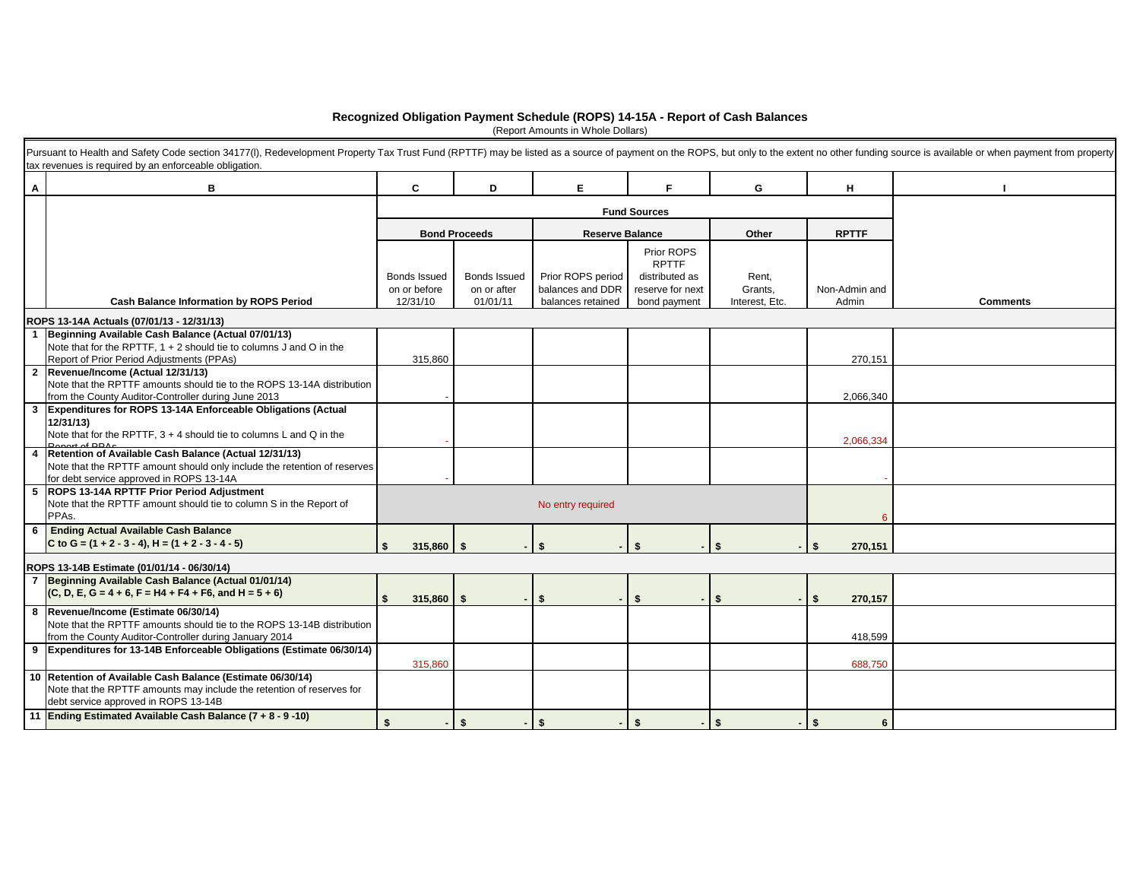## **Recognized Obligation Payment Schedule (ROPS) 14-15A - Report of Cash Balances**

(Report Amounts in Whole Dollars)

|              | Pursuant to Health and Safety Code section 34177(I), Redevelopment Property Tax Trust Fund (RPTTF) may be listed as a source of payment on the ROPS, but only to the extent no other funding source is available or when payme<br>tax revenues is required by an enforceable obligation. |                              |                             |                                       |                                    |                  |                |                 |
|--------------|------------------------------------------------------------------------------------------------------------------------------------------------------------------------------------------------------------------------------------------------------------------------------------------|------------------------------|-----------------------------|---------------------------------------|------------------------------------|------------------|----------------|-----------------|
| A            | в                                                                                                                                                                                                                                                                                        | C                            | D                           | E.                                    | F.                                 | G                | H              |                 |
|              |                                                                                                                                                                                                                                                                                          |                              |                             | <b>Fund Sources</b>                   |                                    |                  |                |                 |
|              |                                                                                                                                                                                                                                                                                          |                              | <b>Bond Proceeds</b>        | <b>Reserve Balance</b>                |                                    | Other            | <b>RPTTF</b>   |                 |
|              |                                                                                                                                                                                                                                                                                          |                              |                             |                                       | Prior ROPS<br><b>RPTTF</b>         |                  |                |                 |
|              |                                                                                                                                                                                                                                                                                          | Bonds Issued<br>on or before | Bonds Issued<br>on or after | Prior ROPS period<br>balances and DDR | distributed as<br>reserve for next | Rent,<br>Grants, | Non-Admin and  |                 |
|              | <b>Cash Balance Information by ROPS Period</b>                                                                                                                                                                                                                                           | 12/31/10                     | 01/01/11                    | balances retained                     | bond payment                       | Interest, Etc.   | Admin          | <b>Comments</b> |
|              | ROPS 13-14A Actuals (07/01/13 - 12/31/13)                                                                                                                                                                                                                                                |                              |                             |                                       |                                    |                  |                |                 |
|              | Beginning Available Cash Balance (Actual 07/01/13)                                                                                                                                                                                                                                       |                              |                             |                                       |                                    |                  |                |                 |
|              | Note that for the RPTTF, $1 + 2$ should tie to columns J and O in the<br>Report of Prior Period Adjustments (PPAs)                                                                                                                                                                       | 315,860                      |                             |                                       |                                    |                  | 270,151        |                 |
|              | 2 Revenue/Income (Actual 12/31/13)                                                                                                                                                                                                                                                       |                              |                             |                                       |                                    |                  |                |                 |
|              | Note that the RPTTF amounts should tie to the ROPS 13-14A distribution                                                                                                                                                                                                                   |                              |                             |                                       |                                    |                  |                |                 |
| $\mathbf{3}$ | from the County Auditor-Controller during June 2013<br>Expenditures for ROPS 13-14A Enforceable Obligations (Actual                                                                                                                                                                      |                              |                             |                                       |                                    |                  | 2,066,340      |                 |
|              | 12/31/13)                                                                                                                                                                                                                                                                                |                              |                             |                                       |                                    |                  |                |                 |
|              | Note that for the RPTTF, $3 + 4$ should tie to columns L and Q in the                                                                                                                                                                                                                    |                              |                             |                                       |                                    |                  | 2,066,334      |                 |
|              | Retention of Available Cash Balance (Actual 12/31/13)                                                                                                                                                                                                                                    |                              |                             |                                       |                                    |                  |                |                 |
|              | Note that the RPTTF amount should only include the retention of reserves<br>for debt service approved in ROPS 13-14A                                                                                                                                                                     |                              |                             |                                       |                                    |                  |                |                 |
|              | 5 ROPS 13-14A RPTTF Prior Period Adjustment                                                                                                                                                                                                                                              |                              |                             |                                       |                                    |                  |                |                 |
|              | Note that the RPTTF amount should tie to column S in the Report of<br>PPAs.                                                                                                                                                                                                              |                              |                             | No entry required                     |                                    |                  |                |                 |
| 6            | <b>Ending Actual Available Cash Balance</b>                                                                                                                                                                                                                                              |                              |                             |                                       |                                    |                  |                |                 |
|              | C to G = $(1 + 2 - 3 - 4)$ , H = $(1 + 2 - 3 - 4 - 5)$                                                                                                                                                                                                                                   | $315,860$ \$                 |                             | Ŝ.                                    | \$                                 | \$               | -\$<br>270,151 |                 |
|              | ROPS 13-14B Estimate (01/01/14 - 06/30/14)                                                                                                                                                                                                                                               |                              |                             |                                       |                                    |                  |                |                 |
|              | 7 Beginning Available Cash Balance (Actual 01/01/14)                                                                                                                                                                                                                                     |                              |                             |                                       |                                    |                  |                |                 |
|              | $(C, D, E, G = 4 + 6, F = H4 + F4 + F6, and H = 5 + 6)$                                                                                                                                                                                                                                  | $315,860$ \$                 |                             | Ŝ.                                    | \$                                 | \$               | 270,157<br>-\$ |                 |
|              | 8 Revenue/Income (Estimate 06/30/14)<br>Note that the RPTTF amounts should tie to the ROPS 13-14B distribution                                                                                                                                                                           |                              |                             |                                       |                                    |                  |                |                 |
|              | from the County Auditor-Controller during January 2014                                                                                                                                                                                                                                   |                              |                             |                                       |                                    |                  | 418,599        |                 |
|              | 9 Expenditures for 13-14B Enforceable Obligations (Estimate 06/30/14)                                                                                                                                                                                                                    |                              |                             |                                       |                                    |                  |                |                 |
|              |                                                                                                                                                                                                                                                                                          | 315,860                      |                             |                                       |                                    |                  | 688,750        |                 |
|              | 10 Retention of Available Cash Balance (Estimate 06/30/14)<br>Note that the RPTTF amounts may include the retention of reserves for                                                                                                                                                      |                              |                             |                                       |                                    |                  |                |                 |
|              | debt service approved in ROPS 13-14B                                                                                                                                                                                                                                                     |                              |                             |                                       |                                    |                  |                |                 |
|              | 11 Ending Estimated Available Cash Balance (7 + 8 - 9 -10)                                                                                                                                                                                                                               | £.<br>$\sim$ .               | \$                          | Ŝ.                                    | \$                                 | \$               | - \$<br>6      |                 |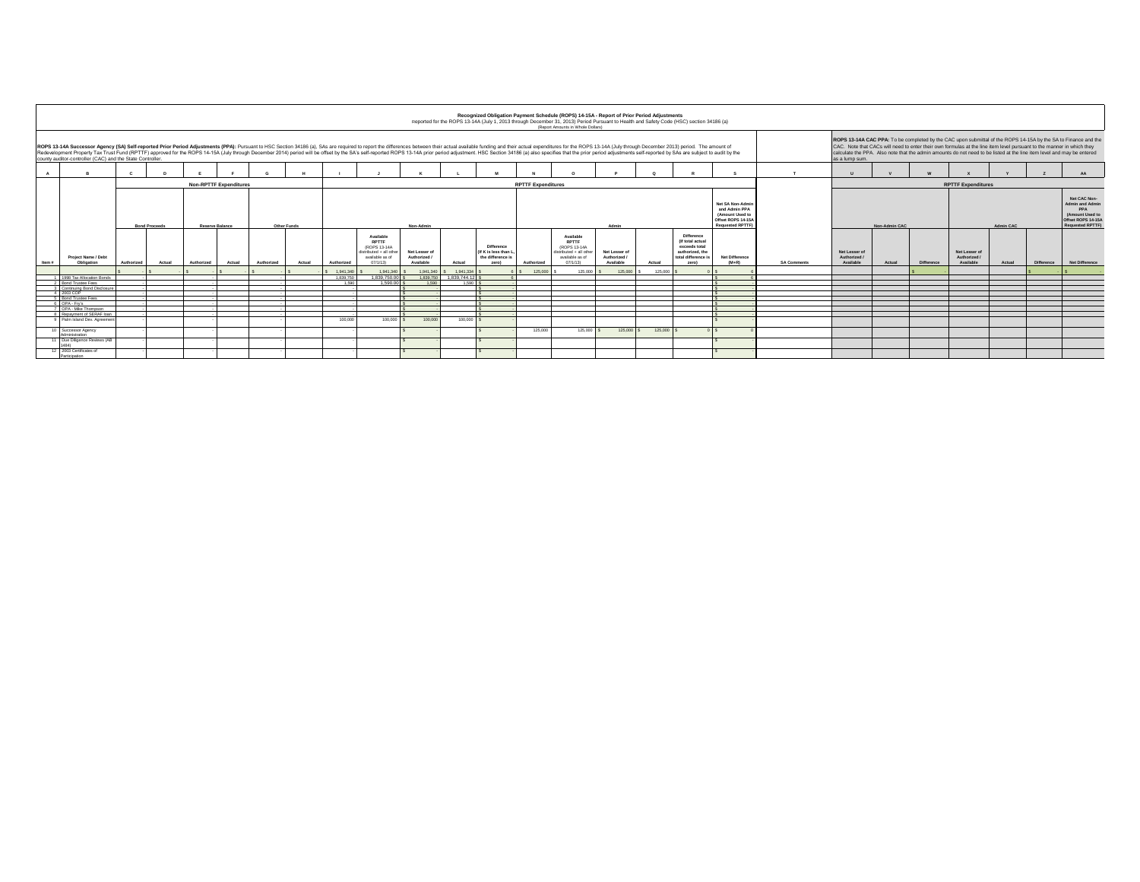|                                                                                                                                                                                                                                                                                                                                                                                                                                                                                                                                                                                                                                                                                                                                                                                                                                                                                                                      | Recognized Obligation Payment Schedule (ROPS) 14-15A - Report of Prior Period Adjustments<br>Reported for the ROPS 13-14A (July 1, 2013 through December 31, 2013) Period Pursuant to Health and Safety Code (HSC) section 34186 (a)<br>(Report Amounts in Whole Dollars) |            |                      |            |                               |            |             |                   |                                                                                                   |                                            |                                 |                                                                  |                           |                                                                                                      |                                            |           |                                                                                                 |                                                                                                     |             |                                          |        |            |                                          |        |            |                                                                                                           |
|----------------------------------------------------------------------------------------------------------------------------------------------------------------------------------------------------------------------------------------------------------------------------------------------------------------------------------------------------------------------------------------------------------------------------------------------------------------------------------------------------------------------------------------------------------------------------------------------------------------------------------------------------------------------------------------------------------------------------------------------------------------------------------------------------------------------------------------------------------------------------------------------------------------------|---------------------------------------------------------------------------------------------------------------------------------------------------------------------------------------------------------------------------------------------------------------------------|------------|----------------------|------------|-------------------------------|------------|-------------|-------------------|---------------------------------------------------------------------------------------------------|--------------------------------------------|---------------------------------|------------------------------------------------------------------|---------------------------|------------------------------------------------------------------------------------------------------|--------------------------------------------|-----------|-------------------------------------------------------------------------------------------------|-----------------------------------------------------------------------------------------------------|-------------|------------------------------------------|--------|------------|------------------------------------------|--------|------------|-----------------------------------------------------------------------------------------------------------|
| ROPS 13-14A CAC PPA: To be completed by the CAC upon submittal of the ROPS 14-15A by the SA to Finance and the<br>CAC. Note that CACs will need to enter their own formulas at the line item level pursuant to the manner in which they<br>ROPS 13-14A Successor Agency (SA) Self-reported Prior Period Adjustments (PPA): Pursuant to HSC Section 34186 (a), SAs are required to report the differences between their actual available funding and their actual expendit<br>Redevelopment Property Tax Trust Fund (RPTTF) approved for the ROPS 14-15A (July through December 2014) period will be offset by the SA's self-reported ROPS 13-14A prior period adjustment. HSC Section 34186 (a) also specif<br>calculate the PPA. Also note that the admin amounts do not need to be listed at the line item level and may be entered<br>county auditor-controller (CAC) and the State Controller.<br>as a lump sum. |                                                                                                                                                                                                                                                                           |            |                      |            |                               |            |             |                   |                                                                                                   |                                            |                                 |                                                                  |                           |                                                                                                      |                                            |           |                                                                                                 |                                                                                                     |             |                                          |        |            |                                          |        |            |                                                                                                           |
|                                                                                                                                                                                                                                                                                                                                                                                                                                                                                                                                                                                                                                                                                                                                                                                                                                                                                                                      | $\mathbf R$                                                                                                                                                                                                                                                               |            |                      |            |                               |            |             |                   |                                                                                                   |                                            |                                 |                                                                  |                           |                                                                                                      |                                            |           |                                                                                                 |                                                                                                     |             |                                          |        |            |                                          |        |            | $\Delta \Delta$                                                                                           |
|                                                                                                                                                                                                                                                                                                                                                                                                                                                                                                                                                                                                                                                                                                                                                                                                                                                                                                                      |                                                                                                                                                                                                                                                                           |            |                      |            | <b>Non-RPTTF Expenditures</b> |            |             |                   |                                                                                                   |                                            |                                 |                                                                  | <b>RPTTF Expenditures</b> |                                                                                                      |                                            |           |                                                                                                 |                                                                                                     |             |                                          |        |            | <b>RPTTF Expenditures</b>                |        |            |                                                                                                           |
|                                                                                                                                                                                                                                                                                                                                                                                                                                                                                                                                                                                                                                                                                                                                                                                                                                                                                                                      |                                                                                                                                                                                                                                                                           |            | <b>Bond Proceeds</b> |            | <b>Reserve Balance</b>        |            | Other Funds |                   |                                                                                                   | Non-Admin                                  |                                 |                                                                  |                           |                                                                                                      | Admin                                      |           |                                                                                                 | Net SA Non-Admir<br>and Admin PPA<br>(Amount Used to<br>Offset ROPS 14-15<br><b>Requested RPTTF</b> |             | Non-Admin CAC                            |        |            | Admin CAC                                |        |            | Net CAC Non-<br>Admin and Admin<br>PPA<br>(Amount Used to<br>Offset ROPS 14-15/<br><b>Requested RPTTF</b> |
| Item #                                                                                                                                                                                                                                                                                                                                                                                                                                                                                                                                                                                                                                                                                                                                                                                                                                                                                                               | Project Name / Debt<br>Obligation                                                                                                                                                                                                                                         | Authorized | Actual               | Authorized | Actual                        | Authorized | Actual      | Authorized        | Available<br><b>RPTTE</b><br>(ROPS 13-14A)<br>listributed + all oth<br>available as of<br>07/1/13 | Net Lesser of<br>Authorized /<br>Available | Actual                          | Difference<br>(If K is less than L<br>the difference is<br>zero) | Authorized                | Available<br><b>RPTTE</b><br>(ROPS 13-14A)<br>istributed + all other<br>available as of<br>(17/1/13) | Net Lesser of<br>Authorized /<br>Available | Actual    | Difference<br>(If total actual<br>exceeds total<br>authorized, the<br>total difference<br>zero) | Net Difference<br>$(M+R)$                                                                           | SA Comments | Net Lesser of<br>Authorized<br>Available | Actual | Difference | Net Lesser of<br>Authorized<br>Available | Actual | Difference | Net Difference                                                                                            |
|                                                                                                                                                                                                                                                                                                                                                                                                                                                                                                                                                                                                                                                                                                                                                                                                                                                                                                                      |                                                                                                                                                                                                                                                                           |            |                      |            |                               |            |             | 1941340           | 1.941.340                                                                                         | 1.941.340                                  | 1941334                         |                                                                  | 125,000                   | 125,000                                                                                              | 125,000                                    | 125,000   |                                                                                                 |                                                                                                     |             |                                          |        |            |                                          |        |            |                                                                                                           |
|                                                                                                                                                                                                                                                                                                                                                                                                                                                                                                                                                                                                                                                                                                                                                                                                                                                                                                                      | 1998 Tax Allocation Bond<br><b>Bond Trustee Fees</b>                                                                                                                                                                                                                      |            |                      |            |                               |            |             | 1839.750<br>1.590 | 1.839.750.00<br>1.590.00                                                                          | 1.590                                      | 1.839.750 1.839.744.12<br>1.590 |                                                                  |                           |                                                                                                      |                                            |           |                                                                                                 |                                                                                                     |             |                                          |        |            |                                          |        |            |                                                                                                           |
|                                                                                                                                                                                                                                                                                                                                                                                                                                                                                                                                                                                                                                                                                                                                                                                                                                                                                                                      | Continuing Bond Disclosure                                                                                                                                                                                                                                                |            |                      |            |                               |            |             |                   |                                                                                                   |                                            |                                 |                                                                  |                           |                                                                                                      |                                            |           |                                                                                                 |                                                                                                     |             |                                          |        |            |                                          |        |            |                                                                                                           |
|                                                                                                                                                                                                                                                                                                                                                                                                                                                                                                                                                                                                                                                                                                                                                                                                                                                                                                                      | 4 2003 COP                                                                                                                                                                                                                                                                |            |                      |            |                               |            |             |                   |                                                                                                   |                                            |                                 |                                                                  |                           |                                                                                                      |                                            |           |                                                                                                 |                                                                                                     |             |                                          |        |            |                                          |        |            |                                                                                                           |
|                                                                                                                                                                                                                                                                                                                                                                                                                                                                                                                                                                                                                                                                                                                                                                                                                                                                                                                      | <b>Bond Trustee Fees</b>                                                                                                                                                                                                                                                  |            |                      |            |                               |            |             |                   |                                                                                                   |                                            |                                 |                                                                  |                           |                                                                                                      |                                            |           |                                                                                                 |                                                                                                     |             |                                          |        |            |                                          |        |            |                                                                                                           |
|                                                                                                                                                                                                                                                                                                                                                                                                                                                                                                                                                                                                                                                                                                                                                                                                                                                                                                                      | OPA - Fry's<br>OPA - Mike Thompson                                                                                                                                                                                                                                        |            |                      |            |                               |            |             |                   |                                                                                                   |                                            |                                 |                                                                  |                           |                                                                                                      |                                            |           |                                                                                                 |                                                                                                     |             |                                          |        |            |                                          |        |            |                                                                                                           |
|                                                                                                                                                                                                                                                                                                                                                                                                                                                                                                                                                                                                                                                                                                                                                                                                                                                                                                                      | Repayment of SERAF loar                                                                                                                                                                                                                                                   |            |                      |            |                               |            |             |                   |                                                                                                   |                                            |                                 |                                                                  |                           |                                                                                                      |                                            |           |                                                                                                 |                                                                                                     |             |                                          |        |            |                                          |        |            |                                                                                                           |
|                                                                                                                                                                                                                                                                                                                                                                                                                                                                                                                                                                                                                                                                                                                                                                                                                                                                                                                      | Palm Island Dev. Agreeme                                                                                                                                                                                                                                                  |            |                      |            |                               |            |             | 100,000           | 100,000 S                                                                                         | 100,000                                    | 100,000                         |                                                                  |                           |                                                                                                      |                                            |           |                                                                                                 |                                                                                                     |             |                                          |        |            |                                          |        |            |                                                                                                           |
|                                                                                                                                                                                                                                                                                                                                                                                                                                                                                                                                                                                                                                                                                                                                                                                                                                                                                                                      | 10 Successor Agency<br>Administration                                                                                                                                                                                                                                     |            |                      |            |                               |            |             |                   |                                                                                                   |                                            |                                 |                                                                  | 125,000                   | 125,000                                                                                              | 125,000                                    | 125,000 S |                                                                                                 |                                                                                                     |             |                                          |        |            |                                          |        |            |                                                                                                           |
|                                                                                                                                                                                                                                                                                                                                                                                                                                                                                                                                                                                                                                                                                                                                                                                                                                                                                                                      | 11 Due Diligence Reviews (AB<br>494                                                                                                                                                                                                                                       |            |                      |            |                               |            |             |                   |                                                                                                   |                                            |                                 |                                                                  |                           |                                                                                                      |                                            |           |                                                                                                 |                                                                                                     |             |                                          |        |            |                                          |        |            |                                                                                                           |
|                                                                                                                                                                                                                                                                                                                                                                                                                                                                                                                                                                                                                                                                                                                                                                                                                                                                                                                      | 12 2003 Certificates of<br>Participation                                                                                                                                                                                                                                  |            |                      |            |                               |            |             |                   |                                                                                                   |                                            |                                 |                                                                  |                           |                                                                                                      |                                            |           |                                                                                                 |                                                                                                     |             |                                          |        |            |                                          |        |            |                                                                                                           |